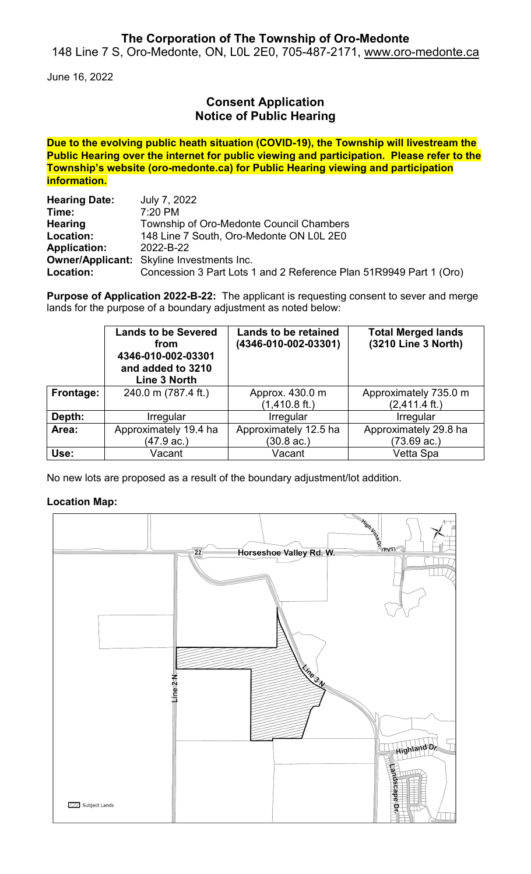## **The Corporation of The Township of Oro-Medonte**

148 Line 7 S, Oro-Medonte, ON, L0L 2E0, 705-487-2171, [www.oro-medonte.ca](http://www.oro-medonte.ca/)

June 16, 2022

# **Consent Application Notice of Public Hearing**

**Due to the evolving public heath situation (COVID-19), the Township will livestream the Public Hearing over the internet for public viewing and participation. Please refer to the Township's website (oro-medonte.ca) for Public Hearing viewing and participation information.**

| <b>Hearing Date:</b> | July 7, 2022                                                       |  |  |
|----------------------|--------------------------------------------------------------------|--|--|
| Time:                | $7:20$ PM                                                          |  |  |
| <b>Hearing</b>       | Township of Oro-Medonte Council Chambers                           |  |  |
| Location:            | 148 Line 7 South, Oro-Medonte ON L0L 2E0                           |  |  |
| <b>Application:</b>  | 2022-B-22                                                          |  |  |
|                      | <b>Owner/Applicant:</b> Skyline Investments Inc.                   |  |  |
| Location:            | Concession 3 Part Lots 1 and 2 Reference Plan 51R9949 Part 1 (Oro) |  |  |

**Purpose of Application 2022-B-22:** The applicant is requesting consent to sever and merge lands for the purpose of a boundary adjustment as noted below:

|           | <b>Lands to be Severed</b><br>from<br>4346-010-002-03301<br>and added to 3210<br>Line 3 North | <b>Lands to be retained</b><br>(4346-010-002-03301) | <b>Total Merged lands</b><br>(3210 Line 3 North) |
|-----------|-----------------------------------------------------------------------------------------------|-----------------------------------------------------|--------------------------------------------------|
| Frontage: | 240.0 m (787.4 ft.)                                                                           | Approx. 430.0 m                                     | Approximately 735.0 m                            |
|           |                                                                                               | $(1,410.8 \text{ ft.})$                             | $(2,411.4 \text{ ft.})$                          |
| Depth:    | Irregular                                                                                     | Irregular                                           | Irregular                                        |
| Area:     | Approximately 19.4 ha                                                                         | Approximately 12.5 ha                               | Approximately 29.8 ha                            |
|           | (47.9 ac.)                                                                                    | (30.8 ac.)                                          | (73.69 ac.)                                      |
| Use:      | Vacant                                                                                        | Vacant                                              | Vetta Spa                                        |

No new lots are proposed as a result of the boundary adjustment/lot addition.

### **Location Map:**

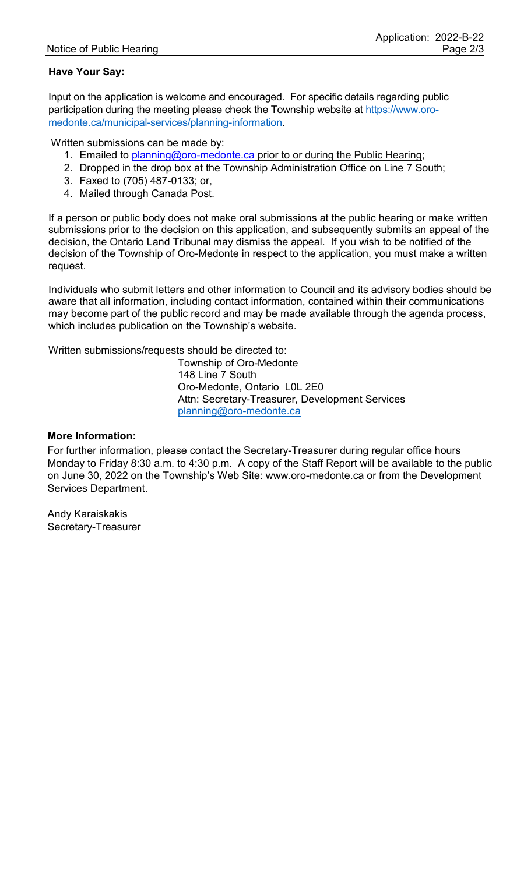### **Have Your Say:**

Input on the application is welcome and encouraged. For specific details regarding public participation during the meeting please check the Township website at [https://www.oro](https://www.oro-medonte.ca/municipal-services/planning-information)[medonte.ca/municipal-services/planning-information.](https://www.oro-medonte.ca/municipal-services/planning-information)

Written submissions can be made by:

- 1. Emailed to [planning@oro-medonte.ca](mailto:planning@oro-medonte.ca) prior to or during the Public Hearing;
- 2. Dropped in the drop box at the Township Administration Office on Line 7 South;
- 3. Faxed to (705) 487-0133; or,
- 4. Mailed through Canada Post.

If a person or public body does not make oral submissions at the public hearing or make written submissions prior to the decision on this application, and subsequently submits an appeal of the decision, the Ontario Land Tribunal may dismiss the appeal. If you wish to be notified of the decision of the Township of Oro-Medonte in respect to the application, you must make a written request.

Individuals who submit letters and other information to Council and its advisory bodies should be aware that all information, including contact information, contained within their communications may become part of the public record and may be made available through the agenda process, which includes publication on the Township's website.

Written submissions/requests should be directed to:

Township of Oro-Medonte 148 Line 7 South Oro-Medonte, Ontario L0L 2E0 Attn: Secretary-Treasurer, Development Services [planning@oro-medonte.ca](mailto:planning@oro-medonte.ca)

#### **More Information:**

For further information, please contact the Secretary-Treasurer during regular office hours Monday to Friday 8:30 a.m. to 4:30 p.m. A copy of the Staff Report will be available to the public on June 30, 2022 on the Township's Web Site: [www.oro-medonte.ca](http://www.oro-medonte.ca/) or from the Development Services Department.

Andy Karaiskakis Secretary-Treasurer